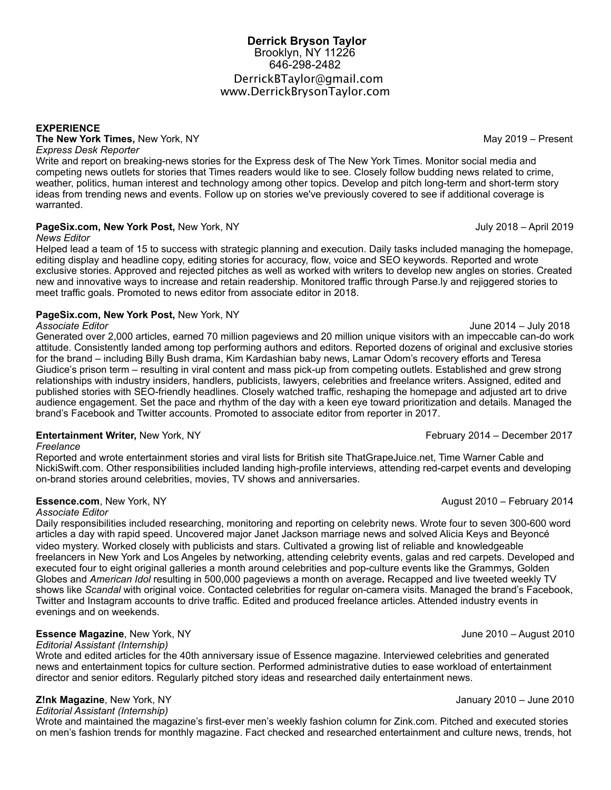# **Derrick Bryson Taylor**  Brooklyn, NY 11226 646-298-2482 [DerrickBTaylor@gmail.com](mailto:derrickbtaylor@gmail.com) [www.DerrickBrysonTaylor.com](http://www.DerrickBrysonTaylor.com)

#### **EXPERIENCE**

**The New York Times,** New York, NY May 2019 – Present *Express Desk Reporter*

Write and report on breaking-news stories for the Express desk of The New York Times. Monitor social media and competing news outlets for stories that Times readers would like to see. Closely follow budding news related to crime, weather, politics, human interest and technology among other topics. Develop and pitch long-term and short-term story ideas from trending news and events. Follow up on stories we've previously covered to see if additional coverage is warranted.

## **PageSix.com, New York Post, New York, NY July 2018 – April 2019**

*News Editor* 

Helped lead a team of 15 to success with strategic planning and execution. Daily tasks included managing the homepage, editing display and headline copy, editing stories for accuracy, flow, voice and SEO keywords. Reported and wrote exclusive stories. Approved and rejected pitches as well as worked with writers to develop new angles on stories. Created new and innovative ways to increase and retain readership. Monitored traffic through Parse.ly and rejiggered stories to meet traffic goals. Promoted to news editor from associate editor in 2018.

### **PageSix.com, New York Post,** New York, NY

#### *Associate Editor* June 2014 – July 2018

Generated over 2,000 articles, earned 70 million pageviews and 20 million unique visitors with an impeccable can-do work attitude. Consistently landed among top performing authors and editors. Reported dozens of original and exclusive stories for the brand – including Billy Bush drama, Kim Kardashian baby news, Lamar Odom's recovery efforts and Teresa Giudice's prison term – resulting in viral content and mass pick-up from competing outlets. Established and grew strong relationships with industry insiders, handlers, publicists, lawyers, celebrities and freelance writers. Assigned, edited and published stories with SEO-friendly headlines. Closely watched traffic, reshaping the homepage and adjusted art to drive audience engagement. Set the pace and rhythm of the day with a keen eye toward prioritization and details. Managed the brand's Facebook and Twitter accounts. Promoted to associate editor from reporter in 2017.

# **Entertainment Writer, New York, NY** *CONDUCTER SERIES 2014 – December 2017* **February 2014 – December 2017**

#### *Freelance*

Reported and wrote entertainment stories and viral lists for British site ThatGrapeJuice.net, Time Warner Cable and NickiSwift.com. Other responsibilities included landing high-profile interviews, attending red-carpet events and developing on-brand stories around celebrities, movies, TV shows and anniversaries.

# **Essence.com**, New York, NY August 2010 – February 2014

#### *Associate Editor*

Daily responsibilities included researching, monitoring and reporting on celebrity news. Wrote four to seven 300-600 word articles a day with rapid speed. Uncovered major Janet Jackson marriage news and solved Alicia Keys and Beyoncé video mystery. Worked closely with publicists and stars. Cultivated a growing list of reliable and knowledgeable freelancers in New York and Los Angeles by networking, attending celebrity events, galas and red carpets. Developed and executed four to eight original galleries a month around celebrities and pop-culture events like the Grammys, Golden Globes and *American Idol* resulting in 500,000 pageviews a month on average**.** Recapped and live tweeted weekly TV shows like *Scandal* with original voice. Contacted celebrities for regular on-camera visits. Managed the brand's Facebook, Twitter and Instagram accounts to drive traffic. Edited and produced freelance articles. Attended industry events in evenings and on weekends.

# **Essence Magazine**, New York, NY **Same 2010** – August 2010 – August 2010

*Editorial Assistant (Internship)* 

Wrote and edited articles for the 40th anniversary issue of Essence magazine. Interviewed celebrities and generated news and entertainment topics for culture section. Performed administrative duties to ease workload of entertainment director and senior editors. Regularly pitched story ideas and researched daily entertainment news.

# **Z!nk Magazine**, New York, NY January 2010 – June 2010

*Editorial Assistant (Internship)* 

Wrote and maintained the magazine's first-ever men's weekly fashion column for Zink.com. Pitched and executed stories on men's fashion trends for monthly magazine. Fact checked and researched entertainment and culture news, trends, hot